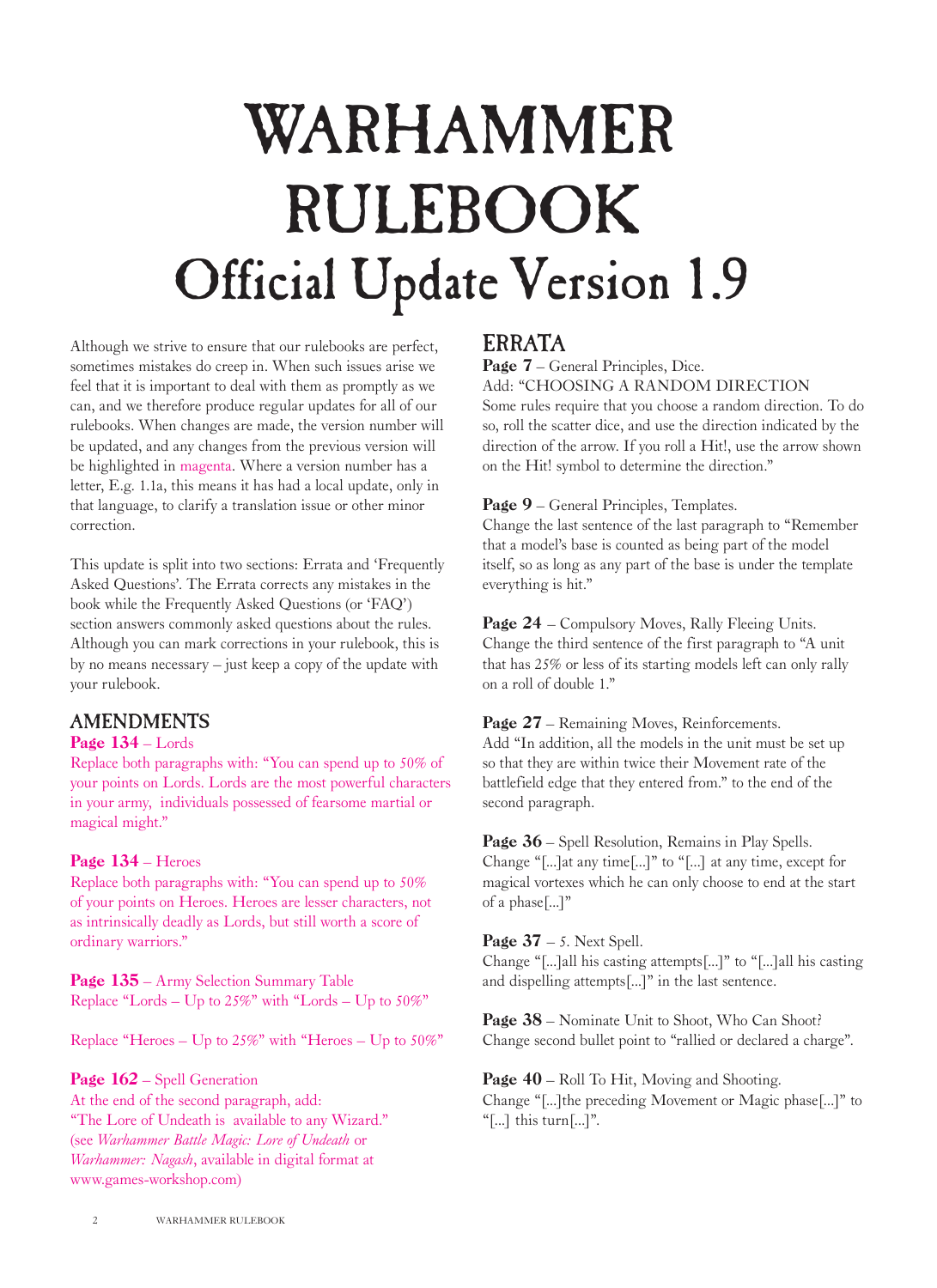# WARHAMMER RULEBOOK Official Update Version 1.9

Although we strive to ensure that our rulebooks are perfect, sometimes mistakes do creep in. When such issues arise we feel that it is important to deal with them as promptly as we can, and we therefore produce regular updates for all of our rulebooks. When changes are made, the version number will be updated, and any changes from the previous version will be highlighted in magenta. Where a version number has a letter, E.g. 1.1a, this means it has had a local update, only in that language, to clarify a translation issue or other minor correction.

This update is split into two sections: Errata and 'Frequently Asked Questions'. The Errata corrects any mistakes in the book while the Frequently Asked Questions (or 'FAQ') section answers commonly asked questions about the rules. Although you can mark corrections in your rulebook, this is by no means necessary – just keep a copy of the update with your rulebook.

## AMENDMENTS

#### Page  $134 -$ Lords

Replace both paragraphs with: "You can spend up to 50% of your points on Lords. Lords are the most powerful characters in your army, individuals possessed of fearsome martial or magical might."

#### Page 134 – Heroes

Replace both paragraphs with: "You can spend up to 50% of your points on Heroes. Heroes are lesser characters, not as intrinsically deadly as Lords, but still worth a score of ordinary warriors."

Page  $135$  – Army Selection Summary Table Replace "Lords – Up to 25%" with "Lords – Up to 50%"

Replace "Heroes –  $Up to 25\%$ " with "Heroes –  $Up to 50\%$ "

#### Page  $162$  – Spell Generation

At the end of the second paragraph, add: "The Lore of Undeath is available to any Wizard." (see *Warhammer Battle Magic: Lore of Undeath* or *Warhammer: Nagash*, available in digital format at www.games-workshop.com)

## ERRATA

Page 7 – General Principles, Dice.

Add: "CHOOSING A RANDOM DIRECTION

Some rules require that you choose a random direction. To do so, roll the scatter dice, and use the direction indicated by the direction of the arrow. If you roll a Hit!, use the arrow shown on the Hit! symbol to determine the direction."

#### Page 9 – General Principles, Templates.

Change the last sentence of the last paragraph to "Remember that a model's base is counted as being part of the model itself, so as long as any part of the base is under the template everything is hit."

Page 24 – Compulsory Moves, Rally Fleeing Units. Change the third sentence of the first paragraph to "A unit that has 25% or less of its starting models left can only rally on a roll of double 1."

Page 27 – Remaining Moves, Reinforcements. Add "In addition, all the models in the unit must be set up so that they are within twice their Movement rate of the battlefield edge that they entered from." to the end of the second paragraph.

Page 36 – Spell Resolution, Remains in Play Spells. Change "[...]at any time[...]" to "[...] at any time, except for magical vortexes which he can only choose to end at the start of a phase[...]"

Page  $37 - 5$ . Next Spell.

Change "[...]all his casting attempts[...]" to "[...]all his casting and dispelling attempts[...]" in the last sentence.

Page 38 – Nominate Unit to Shoot, Who Can Shoot? Change second bullet point to "rallied or declared a charge".

Page 40 – Roll To Hit, Moving and Shooting. Change "[...]the preceding Movement or Magic phase[...]" to "[...] this turn[...]".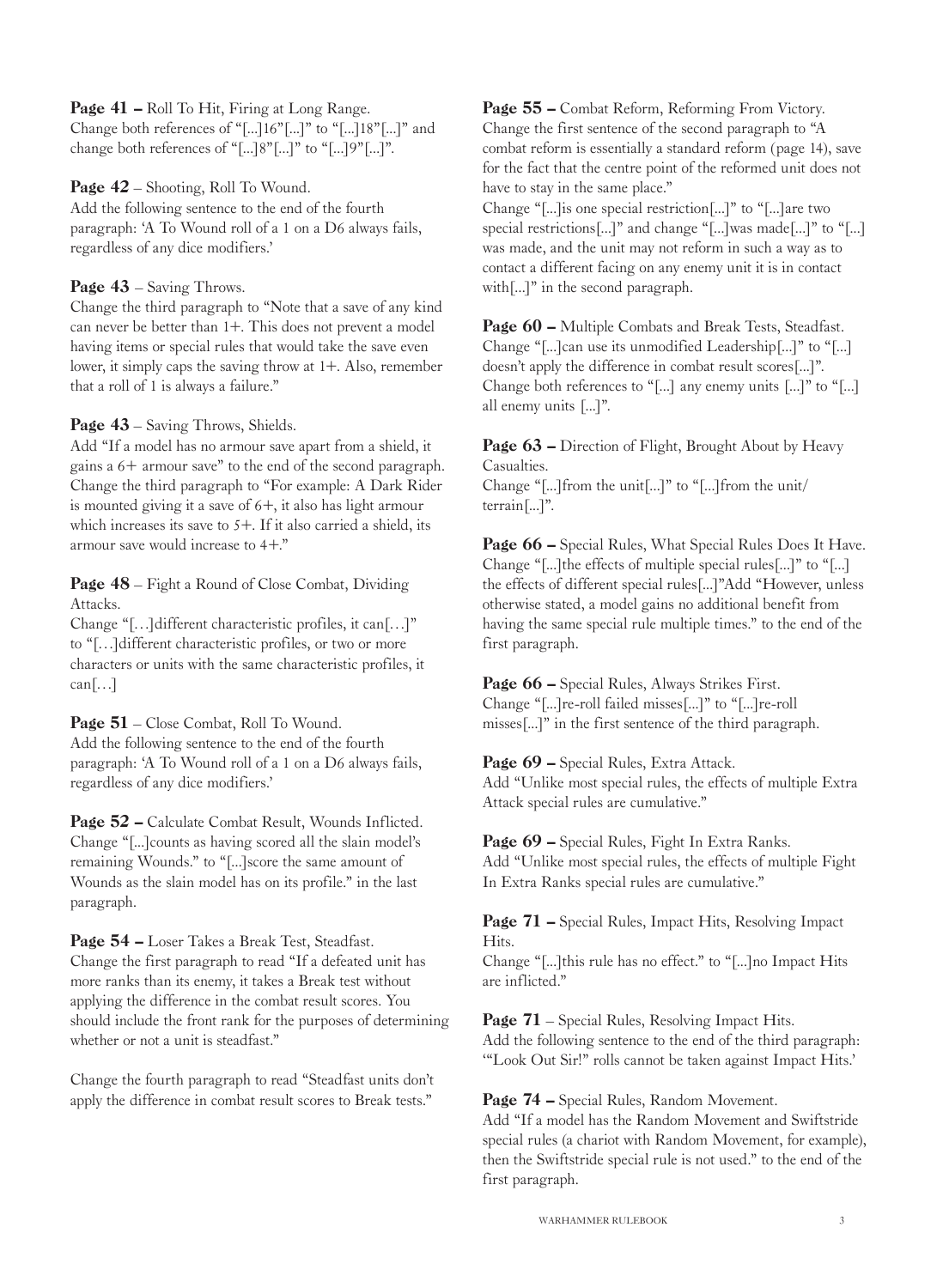Page 41 – Roll To Hit, Firing at Long Range. Change both references of "[...]16"[...]" to "[...]18"[...]" and change both references of "[...]8"[...]" to "[...]9"[...]".

Page  $42$  – Shooting, Roll To Wound. Add the following sentence to the end of the fourth paragraph: 'A To Wound roll of a 1 on a D6 always fails, regardless of any dice modifiers.'

Page  $43$  – Saving Throws.

Change the third paragraph to "Note that a save of any kind can never be better than 1+. This does not prevent a model having items or special rules that would take the save even lower, it simply caps the saving throw at 1+. Also, remember that a roll of 1 is always a failure."

Page  $43$  – Saving Throws, Shields.

Add "If a model has no armour save apart from a shield, it gains a 6+ armour save" to the end of the second paragraph. Change the third paragraph to "For example: A Dark Rider is mounted giving it a save of  $6+$ , it also has light armour which increases its save to  $5+$ . If it also carried a shield, its armour save would increase to 4+."

Page  $48$  – Fight a Round of Close Combat, Dividing Attacks.

Change "[…]different characteristic profiles, it can[…]" to "[…]different characteristic profiles, or two or more characters or units with the same characteristic profiles, it  $can$ [...]

Page 51 – Close Combat, Roll To Wound. Add the following sentence to the end of the fourth paragraph: 'A To Wound roll of a 1 on a D6 always fails, regardless of any dice modifiers.'

Page 52 – Calculate Combat Result, Wounds Inflicted. Change "[...]counts as having scored all the slain model's remaining Wounds." to "[...]score the same amount of Wounds as the slain model has on its profile." in the last paragraph.

Page 54 – Loser Takes a Break Test, Steadfast. Change the first paragraph to read "If a defeated unit has more ranks than its enemy, it takes a Break test without applying the difference in the combat result scores. You should include the front rank for the purposes of determining whether or not a unit is steadfast."

Change the fourth paragraph to read "Steadfast units don't apply the difference in combat result scores to Break tests."

Page 55 – Combat Reform, Reforming From Victory. Change the first sentence of the second paragraph to "A combat reform is essentially a standard reform (page 14), save for the fact that the centre point of the reformed unit does not have to stay in the same place."

Change "[...]is one special restriction[...]" to "[...]are two special restrictions[...]" and change "[...]was made[...]" to "[...] was made, and the unit may not reform in such a way as to contact a different facing on any enemy unit it is in contact with[...]" in the second paragraph.

Page 60 – Multiple Combats and Break Tests, Steadfast. Change "[...]can use its unmodified Leadership[...]" to "[...] doesn't apply the difference in combat result scores[...]". Change both references to "[...] any enemy units [...]" to "[...] all enemy units [...]".

Page 63 – Direction of Flight, Brought About by Heavy Casualties. Change "[...]from the unit[...]" to "[...]from the unit/ terrain[...]".

Page 66 – Special Rules, What Special Rules Does It Have. Change "[...]the effects of multiple special rules[...]" to "[...] the effects of different special rules[...]"Add "However, unless otherwise stated, a model gains no additional benefit from having the same special rule multiple times." to the end of the first paragraph.

Page 66 - Special Rules, Always Strikes First. Change "[...]re-roll failed misses[...]" to "[...]re-roll misses[...]" in the first sentence of the third paragraph.

Page 69 - Special Rules, Extra Attack. Add "Unlike most special rules, the effects of multiple Extra Attack special rules are cumulative."

Page 69 – Special Rules, Fight In Extra Ranks. Add "Unlike most special rules, the effects of multiple Fight In Extra Ranks special rules are cumulative."

Page 71 – Special Rules, Impact Hits, Resolving Impact Hits.

Change "[...]this rule has no effect." to "[...]no Impact Hits are inflicted."

Page 71 – Special Rules, Resolving Impact Hits. Add the following sentence to the end of the third paragraph: '"Look Out Sir!" rolls cannot be taken against Impact Hits.'

Page 74 – Special Rules, Random Movement.

Add "If a model has the Random Movement and Swiftstride special rules (a chariot with Random Movement, for example), then the Swiftstride special rule is not used." to the end of the first paragraph.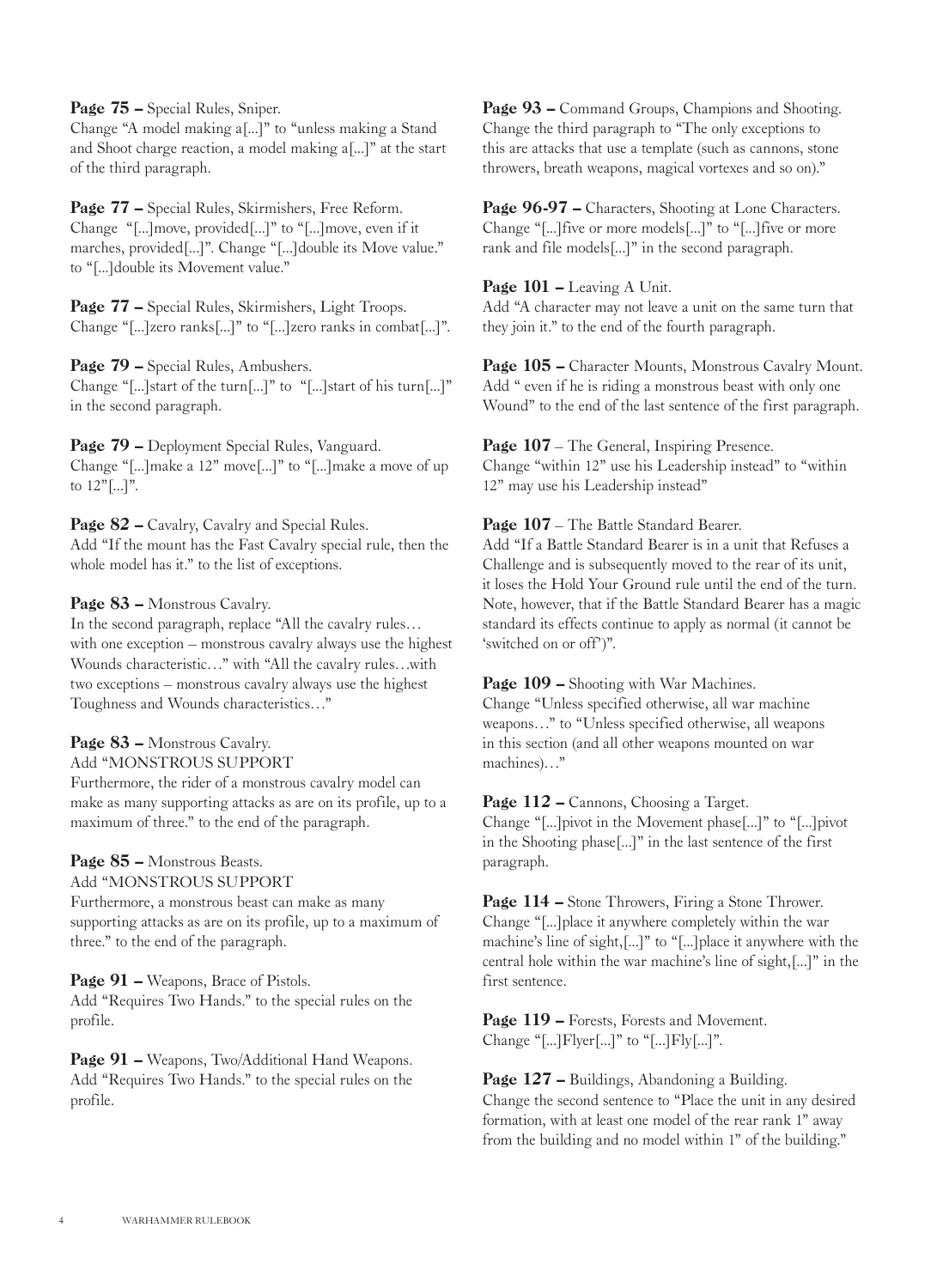Page 75 – Special Rules, Sniper.

Change "A model making a[...]" to "unless making a Stand and Shoot charge reaction, a model making a[...]" at the start of the third paragraph.

Page 77 – Special Rules, Skirmishers, Free Reform. Change "[...]move, provided[...]" to "[...]move, even if it marches, provided[...]". Change "[...]double its Move value." to "[...]double its Movement value."

Page 77 – Special Rules, Skirmishers, Light Troops. Change "[...]zero ranks[...]" to "[...]zero ranks in combat[...]".

Page 79 - Special Rules, Ambushers. Change "[...]start of the turn[...]" to "[...]start of his turn[...]" in the second paragraph.

Page 79 – Deployment Special Rules, Vanguard. Change "[...]make a 12" move[...]" to "[...]make a move of up to 12"[...]".

Page 82 – Cavalry, Cavalry and Special Rules. Add "If the mount has the Fast Cavalry special rule, then the whole model has it." to the list of exceptions.

#### Page 83 – Monstrous Cavalry.

In the second paragraph, replace "All the cavalry rules… with one exception – monstrous cavalry always use the highest Wounds characteristic…" with "All the cavalry rules…with two exceptions – monstrous cavalry always use the highest Toughness and Wounds characteristics…"

## Page 83 – Monstrous Cavalry.

Add "MONSTROUS SUPPORT

Furthermore, the rider of a monstrous cavalry model can make as many supporting attacks as are on its profile, up to a maximum of three." to the end of the paragraph.

## Page 85 – Monstrous Beasts.

Add "MONSTROUS SUPPORT

Furthermore, a monstrous beast can make as many supporting attacks as are on its profile, up to a maximum of three." to the end of the paragraph.

Page 91 – Weapons, Brace of Pistols.

Add "Requires Two Hands." to the special rules on the profile.

Page 91 – Weapons, Two/Additional Hand Weapons. Add "Requires Two Hands." to the special rules on the profile.

Page 93 – Command Groups, Champions and Shooting. Change the third paragraph to "The only exceptions to this are attacks that use a template (such as cannons, stone throwers, breath weapons, magical vortexes and so on)."

Page 96-97 – Characters, Shooting at Lone Characters. Change "[...]five or more models[...]" to "[...]five or more rank and file models[...]" in the second paragraph.

#### Page 101 – Leaving A Unit.

Add "A character may not leave a unit on the same turn that they join it." to the end of the fourth paragraph.

Page 105 - Character Mounts, Monstrous Cavalry Mount. Add " even if he is riding a monstrous beast with only one Wound" to the end of the last sentence of the first paragraph.

Page 107 – The General, Inspiring Presence. Change "within 12" use his Leadership instead" to "within 12" may use his Leadership instead"

#### Page 107 – The Battle Standard Bearer.

Add "If a Battle Standard Bearer is in a unit that Refuses a Challenge and is subsequently moved to the rear of its unit, it loses the Hold Your Ground rule until the end of the turn. Note, however, that if the Battle Standard Bearer has a magic standard its effects continue to apply as normal (it cannot be 'switched on or off')".

#### Page 109 – Shooting with War Machines.

Change "Unless specified otherwise, all war machine weapons…" to "Unless specified otherwise, all weapons in this section (and all other weapons mounted on war machines)…"

Page 112 – Cannons, Choosing a Target. Change "[...]pivot in the Movement phase[...]" to "[...]pivot in the Shooting phase[...]" in the last sentence of the first paragraph.

Page 114 – Stone Throwers, Firing a Stone Thrower. Change "[...]place it anywhere completely within the war machine's line of sight,[...]" to "[...]place it anywhere with the central hole within the war machine's line of sight,[...]" in the first sentence.

Page 119 – Forests, Forests and Movement. Change "[...]  $Flyer$ [...]" to "[...]  $Fly$ [...]".

Page 127 – Buildings, Abandoning a Building. Change the second sentence to "Place the unit in any desired formation, with at least one model of the rear rank 1" away from the building and no model within 1" of the building."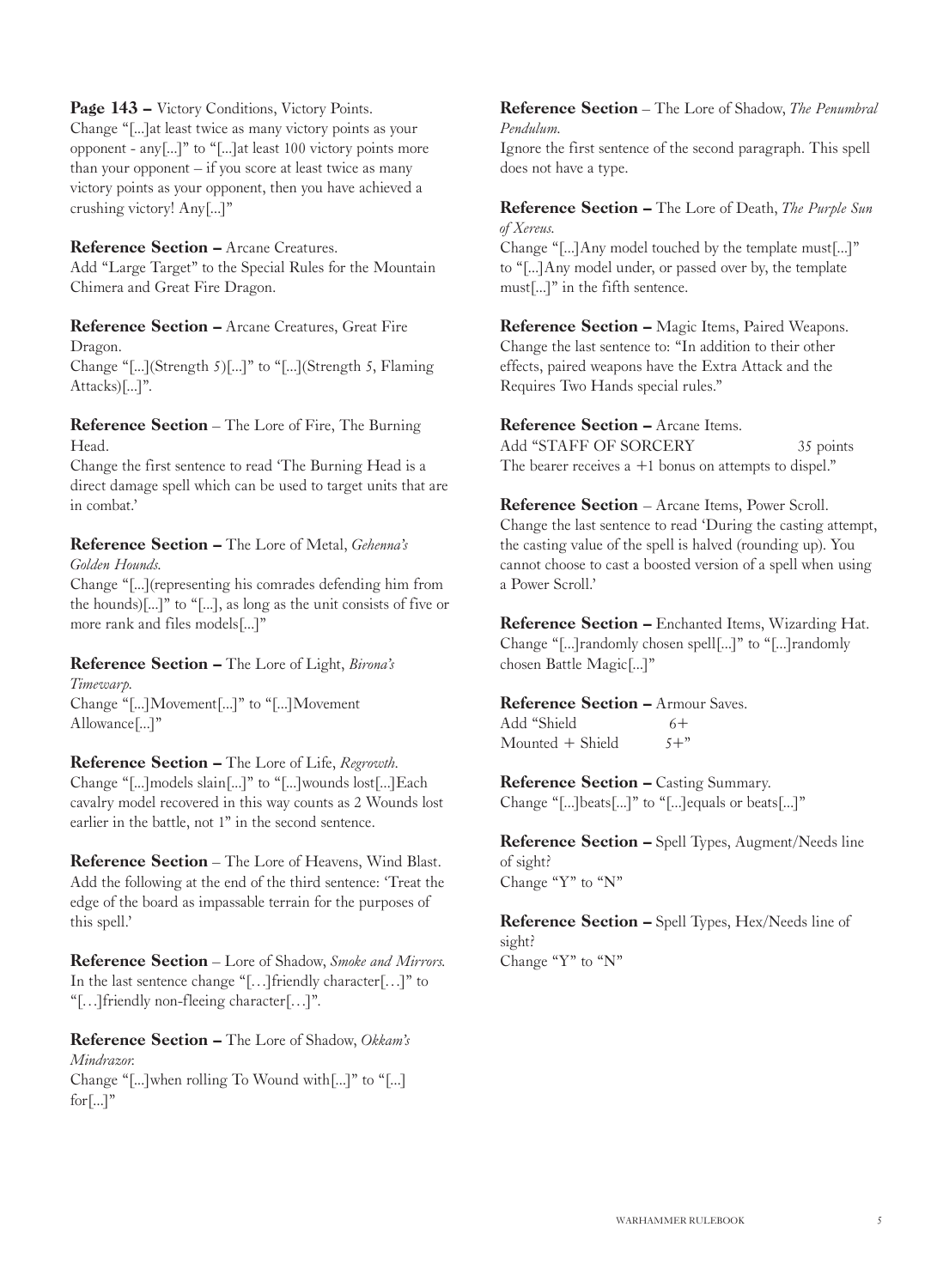#### Page 143 – Victory Conditions, Victory Points.

Change "[...]at least twice as many victory points as your opponent - any[...]" to "[...]at least 100 victory points more than your opponent – if you score at least twice as many victory points as your opponent, then you have achieved a crushing victory! Any[...]"

#### Reference Section – Arcane Creatures.

Add "Large Target" to the Special Rules for the Mountain Chimera and Great Fire Dragon.

#### Reference Section – Arcane Creatures, Great Fire Dragon.

Change "[...](Strength 5)[...]" to "[...](Strength 5, Flaming Attacks)[...]".

#### Reference Section – The Lore of Fire, The Burning Head.

Change the first sentence to read 'The Burning Head is a direct damage spell which can be used to target units that are in combat.'

#### Reference Section – The Lore of Metal, *Gehenna's Golden Hounds.*

Change "[...](representing his comrades defending him from the hounds)[...]" to "[...], as long as the unit consists of five or more rank and files models[...]"

#### Reference Section – The Lore of Light, *Birona's*

*Timewarp.* Change "[...]Movement[...]" to "[...]Movement Allowance[...]"

Reference Section – The Lore of Life, *Regrowth.* Change "[...]models slain[...]" to "[...]wounds lost[...]Each cavalry model recovered in this way counts as 2 Wounds lost earlier in the battle, not 1" in the second sentence.

Reference Section – The Lore of Heavens, Wind Blast. Add the following at the end of the third sentence: 'Treat the edge of the board as impassable terrain for the purposes of this spell.'

Reference Section – Lore of Shadow, *Smoke and Mirrors.* In the last sentence change "[…]friendly character[…]" to "[…]friendly non-fleeing character[…]".

Reference Section – The Lore of Shadow, *Okkam's Mindrazor.* Change "[...]when rolling To Wound with[...]" to "[...]  $for$ [...]"

#### Reference Section – The Lore of Shadow, *The Penumbral Pendulum.*

Ignore the first sentence of the second paragraph. This spell does not have a type.

#### Reference Section – The Lore of Death, *The Purple Sun of Xereus.*

Change "[...]Any model touched by the template must[...]" to "[...]Any model under, or passed over by, the template must[...]" in the fifth sentence.

Reference Section – Magic Items, Paired Weapons. Change the last sentence to: "In addition to their other effects, paired weapons have the Extra Attack and the Requires Two Hands special rules."

#### Reference Section – Arcane Items. Add "STAFF OF SORCERY 35 points The bearer receives  $a +1$  bonus on attempts to dispel."

Reference Section – Arcane Items, Power Scroll. Change the last sentence to read 'During the casting attempt, the casting value of the spell is halved (rounding up). You cannot choose to cast a boosted version of a spell when using a Power Scroll.'

Reference Section – Enchanted Items, Wizarding Hat. Change "[...]randomly chosen spell[...]" to "[...]randomly chosen Battle Magic[...]"

#### Reference Section – Armour Saves.

Add "Shield  $6+$ <br>Mounted + Shield  $5+$ "  $M$ ounted  $+$  Shield

Reference Section – Casting Summary. Change "[...]beats[...]" to "[...]equals or beats[...]"

Reference Section – Spell Types, Augment/Needs line of sight? Change "Y" to "N"

Reference Section – Spell Types, Hex/Needs line of sight? Change "Y" to "N"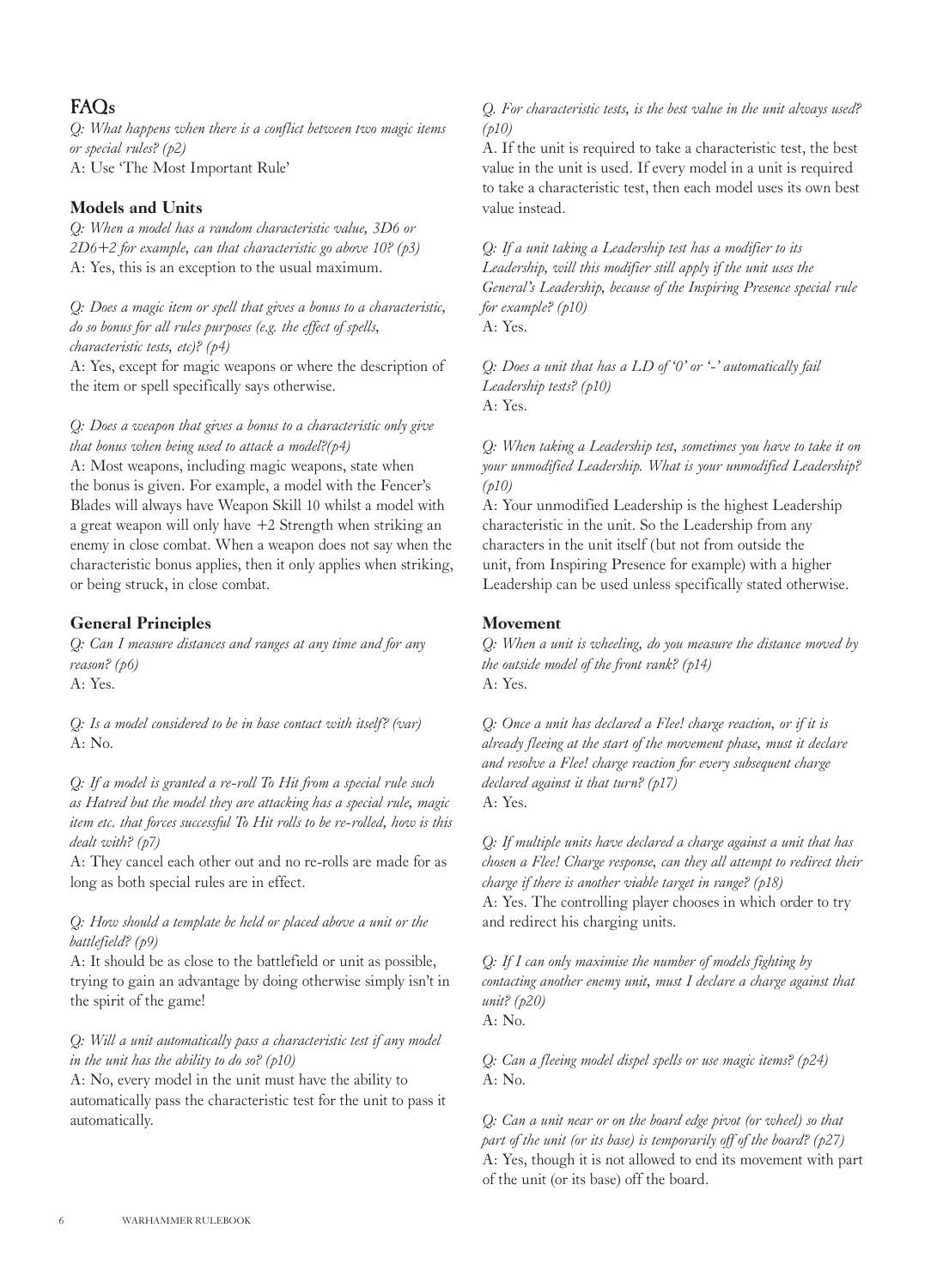## $FAOs$

*Q: What happens when there is a conflict between two magic items or special rules? (p2)* A: Use 'The Most Important Rule'

#### Models and Units

*Q: When a model has a random characteristic value, 3D6 or 2D6+2 for example, can that characteristic go above 10? (p3)* A: Yes, this is an exception to the usual maximum.

*Q: Does a magic item or spell that gives a bonus to a characteristic, do so bonus for all rules purposes (e.g. the effect of spells, characteristic tests, etc)? (p4)*

A: Yes, except for magic weapons or where the description of the item or spell specifically says otherwise.

*Q: Does a weapon that gives a bonus to a characteristic only give that bonus when being used to attack a model?(p4)*

A: Most weapons, including magic weapons, state when the bonus is given. For example, a model with the Fencer's Blades will always have Weapon Skill 10 whilst a model with a great weapon will only have +2 Strength when striking an enemy in close combat. When a weapon does not say when the characteristic bonus applies, then it only applies when striking, or being struck, in close combat.

### General Principles

*Q: Can I measure distances and ranges at any time and for any reason? (p6)*

A: Yes.

*Q: Is a model considered to be in base contact with itself? (var)* A: No.

*Q: If a model is granted a re-roll To Hit from a special rule such as Hatred but the model they are attacking has a special rule, magic item etc. that forces successful To Hit rolls to be re-rolled, how is this dealt with? (p7)*

A: They cancel each other out and no re-rolls are made for as long as both special rules are in effect.

#### *Q: How should a template be held or placed above a unit or the battlefield? (p9)*

A: It should be as close to the battlefield or unit as possible, trying to gain an advantage by doing otherwise simply isn't in the spirit of the game!

#### *Q: Will a unit automatically pass a characteristic test if any model in the unit has the ability to do so? (p10)*

A: No, every model in the unit must have the ability to automatically pass the characteristic test for the unit to pass it automatically.

#### *Q. For characteristic tests, is the best value in the unit always used? (p10)*

A. If the unit is required to take a characteristic test, the best value in the unit is used. If every model in a unit is required to take a characteristic test, then each model uses its own best value instead.

*Q: If a unit taking a Leadership test has a modifier to its Leadership, will this modifier still apply if the unit uses the General's Leadership, because of the Inspiring Presence special rule for example? (p10)*

A: Yes.

*Q: Does a unit that has a LD of '0' or '-' automatically fail Leadership tests? (p10)*  $A \cdot Y_{PS}$ 

*Q: When taking a Leadership test, sometimes you have to take it on your unmodified Leadership. What is your unmodified Leadership? (p10)*

A: Your unmodified Leadership is the highest Leadership characteristic in the unit. So the Leadership from any characters in the unit itself (but not from outside the unit, from Inspiring Presence for example) with a higher Leadership can be used unless specifically stated otherwise.

#### Movement

*Q: When a unit is wheeling, do you measure the distance moved by the outside model of the front rank? (p14)* A: Yes.

*Q: Once a unit has declared a Flee! charge reaction, or if it is already fleeing at the start of the movement phase, must it declare and resolve a Flee! charge reaction for every subsequent charge declared against it that turn? (p17)* A: Yes.

*Q: If multiple units have declared a charge against a unit that has chosen a Flee! Charge response, can they all attempt to redirect their charge if there is another viable target in range? (p18)* A: Yes. The controlling player chooses in which order to try and redirect his charging units.

*Q: If I can only maximise the number of models fighting by contacting another enemy unit, must I declare a charge against that unit? (p20)* A: No.

*Q: Can a fleeing model dispel spells or use magic items? (p24)* A: No.

*Q: Can a unit near or on the board edge pivot (or wheel) so that part of the unit (or its base) is temporarily off of the board? (p27)* A: Yes, though it is not allowed to end its movement with part of the unit (or its base) off the board.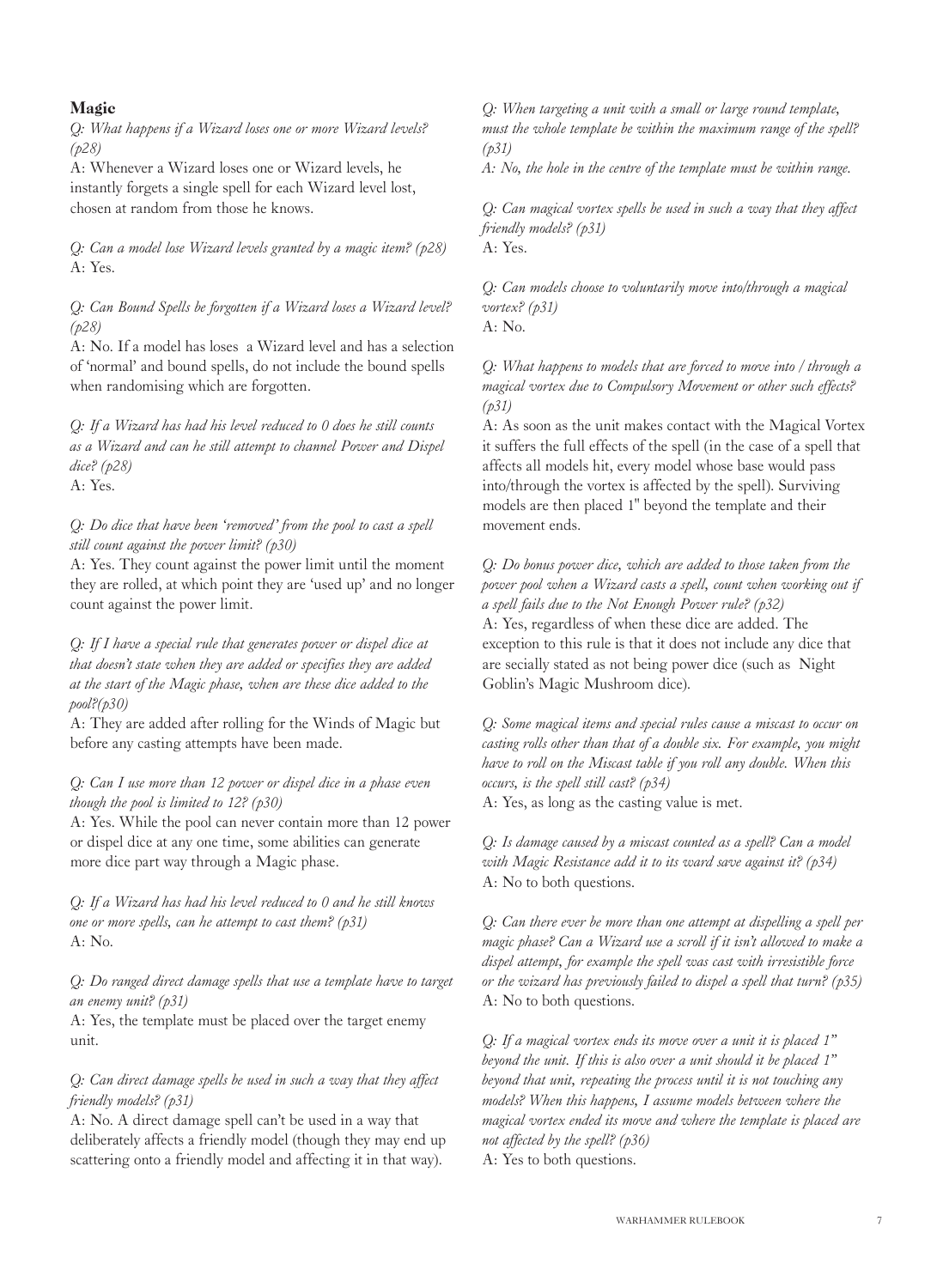#### Magic

*Q: What happens if a Wizard loses one or more Wizard levels? (p28)*

A: Whenever a Wizard loses one or Wizard levels, he instantly forgets a single spell for each Wizard level lost, chosen at random from those he knows.

*Q: Can a model lose Wizard levels granted by a magic item? (p28)* A: Yes.

*Q: Can Bound Spells be forgotten if a Wizard loses a Wizard level? (p28)*

A: No. If a model has loses a Wizard level and has a selection of 'normal' and bound spells, do not include the bound spells when randomising which are forgotten.

*Q: If a Wizard has had his level reduced to 0 does he still counts as a Wizard and can he still attempt to channel Power and Dispel dice? (p28)*

A: Yes.

*Q: Do dice that have been 'removed' from the pool to cast a spell still count against the power limit? (p30)*

A: Yes. They count against the power limit until the moment they are rolled, at which point they are 'used up' and no longer count against the power limit.

*Q: If I have a special rule that generates power or dispel dice at that doesn't state when they are added or specifies they are added at the start of the Magic phase, when are these dice added to the pool?(p30)*

A: They are added after rolling for the Winds of Magic but before any casting attempts have been made.

*Q: Can I use more than 12 power or dispel dice in a phase even though the pool is limited to 12? (p30)*

A: Yes. While the pool can never contain more than 12 power or dispel dice at any one time, some abilities can generate more dice part way through a Magic phase.

*Q: If a Wizard has had his level reduced to 0 and he still knows one or more spells, can he attempt to cast them? (p31)* A: No.

*Q: Do ranged direct damage spells that use a template have to target an enemy unit? (p31)*

A: Yes, the template must be placed over the target enemy unit.

#### *Q: Can direct damage spells be used in such a way that they affect friendly models? (p31)*

A: No. A direct damage spell can't be used in a way that deliberately affects a friendly model (though they may end up scattering onto a friendly model and affecting it in that way).

*Q: When targeting a unit with a small or large round template, must the whole template be within the maximum range of the spell? (p31)*

*A: No, the hole in the centre of the template must be within range.*

*Q: Can magical vortex spells be used in such a way that they affect friendly models? (p31)* A: Yes.

*Q: Can models choose to voluntarily move into/through a magical vortex? (p31)*

A: No.

*Q: What happens to models that are forced to move into / through a magical vortex due to Compulsory Movement or other such effects? (p31)*

A: As soon as the unit makes contact with the Magical Vortex it suffers the full effects of the spell (in the case of a spell that affects all models hit, every model whose base would pass into/through the vortex is affected by the spell). Surviving models are then placed 1" beyond the template and their movement ends.

*Q: Do bonus power dice, which are added to those taken from the power pool when a Wizard casts a spell, count when working out if a spell fails due to the Not Enough Power rule? (p32)* A: Yes, regardless of when these dice are added. The exception to this rule is that it does not include any dice that are secially stated as not being power dice (such as Night Goblin's Magic Mushroom dice).

*Q: Some magical items and special rules cause a miscast to occur on casting rolls other than that of a double six. For example, you might have to roll on the Miscast table if you roll any double. When this occurs, is the spell still cast? (p34)*

A: Yes, as long as the casting value is met.

*Q: Is damage caused by a miscast counted as a spell? Can a model with Magic Resistance add it to its ward save against it? (p34)* A: No to both questions.

*Q: Can there ever be more than one attempt at dispelling a spell per magic phase? Can a Wizard use a scroll if it isn't allowed to make a dispel attempt, for example the spell was cast with irresistible force or the wizard has previously failed to dispel a spell that turn? (p35)* A: No to both questions.

*Q: If a magical vortex ends its move over a unit it is placed 1" beyond the unit. If this is also over a unit should it be placed 1" beyond that unit, repeating the process until it is not touching any models? When this happens, I assume models between where the magical vortex ended its move and where the template is placed are not affected by the spell? (p36)* A: Yes to both questions.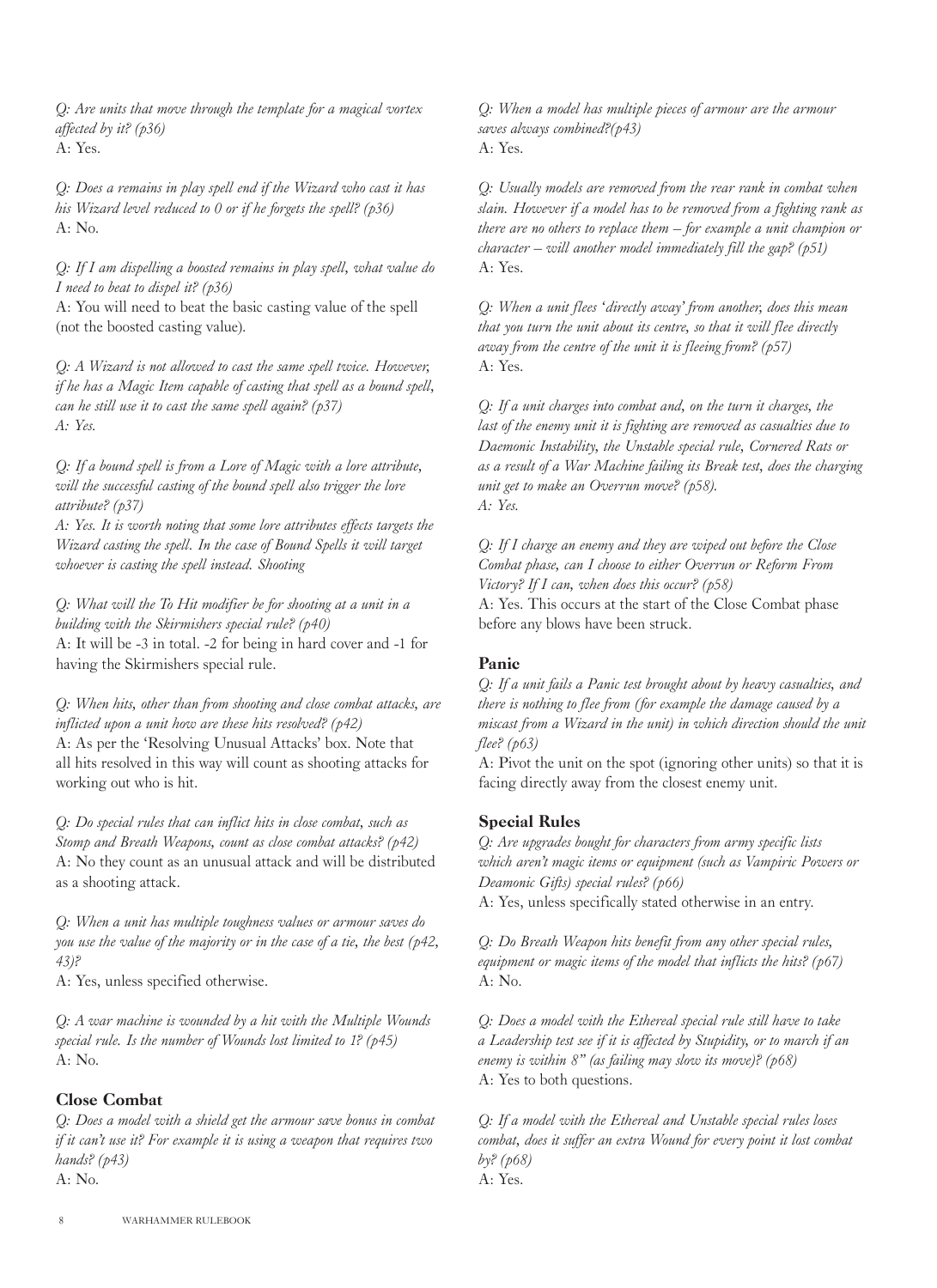*Q: Are units that move through the template for a magical vortex affected by it? (p36)* A: Yes.

*Q: Does a remains in play spell end if the Wizard who cast it has his Wizard level reduced to 0 or if he forgets the spell? (p36)*  $A: No.$ 

*Q: If I am dispelling a boosted remains in play spell, what value do I need to beat to dispel it? (p36)*

A: You will need to beat the basic casting value of the spell (not the boosted casting value).

*Q: A Wizard is not allowed to cast the same spell twice. However, if he has a Magic Item capable of casting that spell as a bound spell, can he still use it to cast the same spell again? (p37) A: Yes.*

*Q: If a bound spell is from a Lore of Magic with a lore attribute, will the successful casting of the bound spell also trigger the lore attribute? (p37)*

*A: Yes. It is worth noting that some lore attributes effects targets the Wizard casting the spell. In the case of Bound Spells it will target whoever is casting the spell instead. Shooting*

*Q: What will the To Hit modifier be for shooting at a unit in a building with the Skirmishers special rule? (p40)* A: It will be -3 in total. -2 for being in hard cover and -1 for having the Skirmishers special rule.

*Q: When hits, other than from shooting and close combat attacks, are inflicted upon a unit how are these hits resolved? (p42)* A: As per the 'Resolving Unusual Attacks' box. Note that all hits resolved in this way will count as shooting attacks for working out who is hit.

*Q: Do special rules that can inflict hits in close combat, such as Stomp and Breath Weapons, count as close combat attacks? (p42)* A: No they count as an unusual attack and will be distributed as a shooting attack.

*Q: When a unit has multiple toughness values or armour saves do you use the value of the majority or in the case of a tie, the best (p42, 43)?*

A: Yes, unless specified otherwise.

*Q: A war machine is wounded by a hit with the Multiple Wounds special rule. Is the number of Wounds lost limited to 1? (p45)*  $A: No.$ 

#### Close Combat

*Q: Does a model with a shield get the armour save bonus in combat if it can't use it? For example it is using a weapon that requires two hands? (p43)* A: No.

*Q: When a model has multiple pieces of armour are the armour saves always combined?(p43)*  $A \cdot Y_{PS}$ 

*Q: Usually models are removed from the rear rank in combat when slain. However if a model has to be removed from a fighting rank as there are no others to replace them – for example a unit champion or character – will another model immediately fill the gap? (p51)* A: Yes.

*Q: When a unit flees 'directly away' from another, does this mean that you turn the unit about its centre, so that it will flee directly away from the centre of the unit it is fleeing from? (p57)* A: Yes.

*Q: If a unit charges into combat and, on the turn it charges, the last of the enemy unit it is fighting are removed as casualties due to Daemonic Instability, the Unstable special rule, Cornered Rats or as a result of a War Machine failing its Break test, does the charging unit get to make an Overrun move? (p58). A: Yes.*

*Q: If I charge an enemy and they are wiped out before the Close Combat phase, can I choose to either Overrun or Reform From Victory? If I can, when does this occur? (p58)* A: Yes. This occurs at the start of the Close Combat phase before any blows have been struck.

#### Panic

*Q: If a unit fails a Panic test brought about by heavy casualties, and there is nothing to flee from (for example the damage caused by a miscast from a Wizard in the unit) in which direction should the unit flee? (p63)*

A: Pivot the unit on the spot (ignoring other units) so that it is facing directly away from the closest enemy unit.

#### Special Rules

*Q: Are upgrades bought for characters from army specific lists which aren't magic items or equipment (such as Vampiric Powers or Deamonic Gifts) special rules? (p66)*

A: Yes, unless specifically stated otherwise in an entry.

*Q: Do Breath Weapon hits benefit from any other special rules, equipment or magic items of the model that inflicts the hits? (p67)* A: No.

*Q: Does a model with the Ethereal special rule still have to take a Leadership test see if it is affected by Stupidity, or to march if an enemy is within 8" (as failing may slow its move)? (p68)* A: Yes to both questions.

*Q: If a model with the Ethereal and Unstable special rules loses combat, does it suffer an extra Wound for every point it lost combat by? (p68)* A: Yes.

8 WARHAMMER RULEBOOK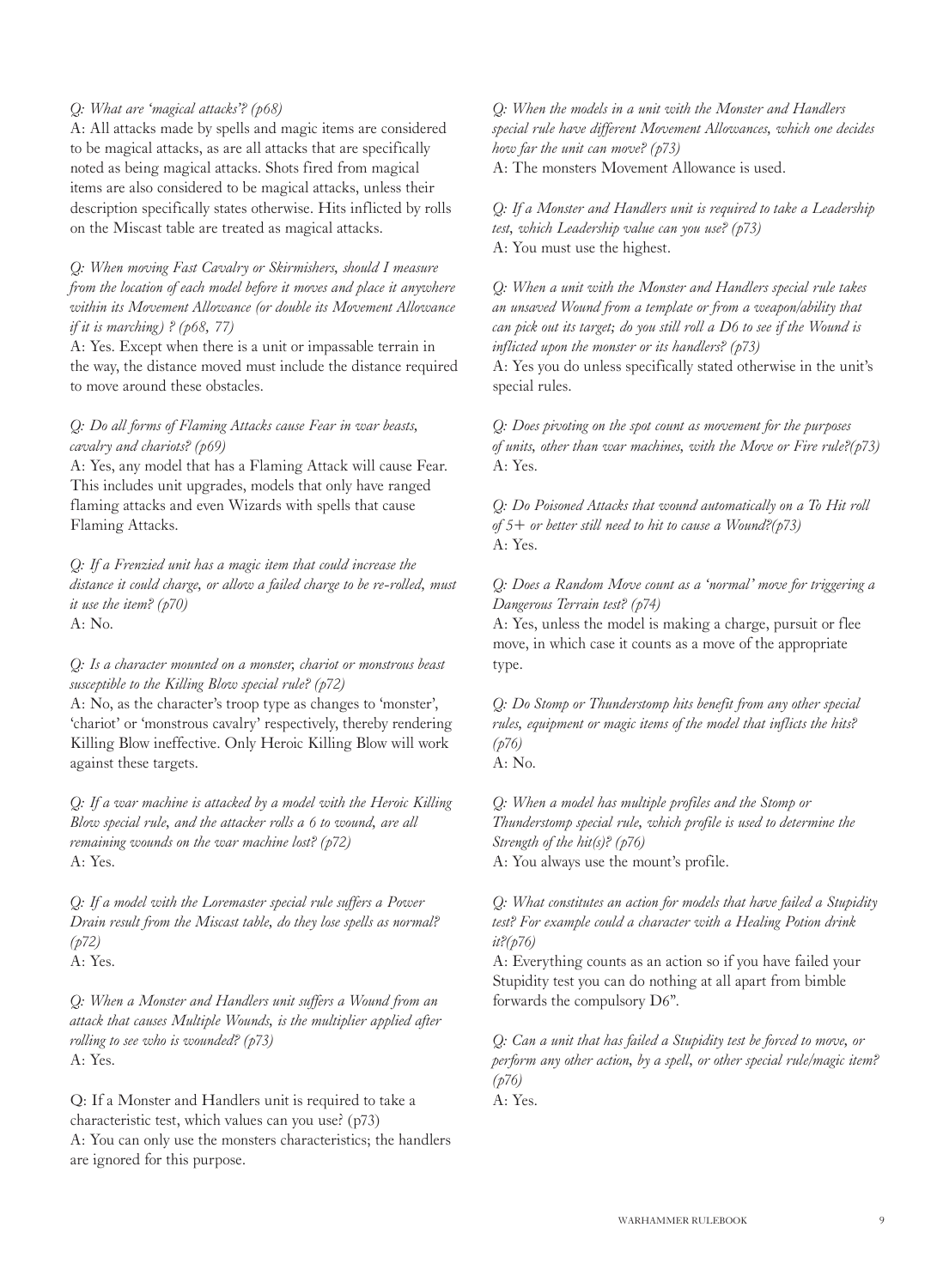#### *Q: What are 'magical attacks'? (p68)*

A: All attacks made by spells and magic items are considered to be magical attacks, as are all attacks that are specifically noted as being magical attacks. Shots fired from magical items are also considered to be magical attacks, unless their description specifically states otherwise. Hits inflicted by rolls on the Miscast table are treated as magical attacks.

*Q: When moving Fast Cavalry or Skirmishers, should I measure from the location of each model before it moves and place it anywhere within its Movement Allowance (or double its Movement Allowance if it is marching) ? (p68, 77)*

A: Yes. Except when there is a unit or impassable terrain in the way, the distance moved must include the distance required to move around these obstacles.

#### *Q: Do all forms of Flaming Attacks cause Fear in war beasts, cavalry and chariots? (p69)*

A: Yes, any model that has a Flaming Attack will cause Fear. This includes unit upgrades, models that only have ranged flaming attacks and even Wizards with spells that cause Flaming Attacks.

*Q: If a Frenzied unit has a magic item that could increase the distance it could charge, or allow a failed charge to be re-rolled, must it use the item? (p70)* A: No.

*Q: Is a character mounted on a monster, chariot or monstrous beast susceptible to the Killing Blow special rule? (p72)*

A: No, as the character's troop type as changes to 'monster', 'chariot' or 'monstrous cavalry' respectively, thereby rendering Killing Blow ineffective. Only Heroic Killing Blow will work against these targets.

*Q: If a war machine is attacked by a model with the Heroic Killing Blow special rule, and the attacker rolls a 6 to wound, are all remaining wounds on the war machine lost? (p72)* A: Yes.

*Q: If a model with the Loremaster special rule suffers a Power Drain result from the Miscast table, do they lose spells as normal? (p72)* A: Yes.

*Q: When a Monster and Handlers unit suffers a Wound from an attack that causes Multiple Wounds, is the multiplier applied after rolling to see who is wounded? (p73)* A: Yes.

Q: If a Monster and Handlers unit is required to take a characteristic test, which values can you use? (p73) A: You can only use the monsters characteristics; the handlers are ignored for this purpose.

*Q: When the models in a unit with the Monster and Handlers special rule have different Movement Allowances, which one decides how far the unit can move? (p73)* A: The monsters Movement Allowance is used.

*Q: If a Monster and Handlers unit is required to take a Leadership test, which Leadership value can you use? (p73)* A: You must use the highest.

*Q: When a unit with the Monster and Handlers special rule takes an unsaved Wound from a template or from a weapon/ability that can pick out its target; do you still roll a D6 to see if the Wound is inflicted upon the monster or its handlers? (p73)*

A: Yes you do unless specifically stated otherwise in the unit's special rules.

*Q: Does pivoting on the spot count as movement for the purposes of units, other than war machines, with the Move or Fire rule?(p73)* A: Yes.

*Q: Do Poisoned Attacks that wound automatically on a To Hit roll of 5+ or better still need to hit to cause a Wound?(p73)* A: Yes.

*Q: Does a Random Move count as a 'normal' move for triggering a Dangerous Terrain test? (p74)*

A: Yes, unless the model is making a charge, pursuit or flee move, in which case it counts as a move of the appropriate type.

*Q: Do Stomp or Thunderstomp hits benefit from any other special rules, equipment or magic items of the model that inflicts the hits? (p76)*

A: No.

*Q: When a model has multiple profiles and the Stomp or Thunderstomp special rule, which profile is used to determine the Strength of the hit(s)? (p76)*

A: You always use the mount's profile.

*Q: What constitutes an action for models that have failed a Stupidity test? For example could a character with a Healing Potion drink it?(p76)*

A: Everything counts as an action so if you have failed your Stupidity test you can do nothing at all apart from bimble forwards the compulsory D6".

*Q: Can a unit that has failed a Stupidity test be forced to move, or perform any other action, by a spell, or other special rule/magic item? (p76)* A: Yes.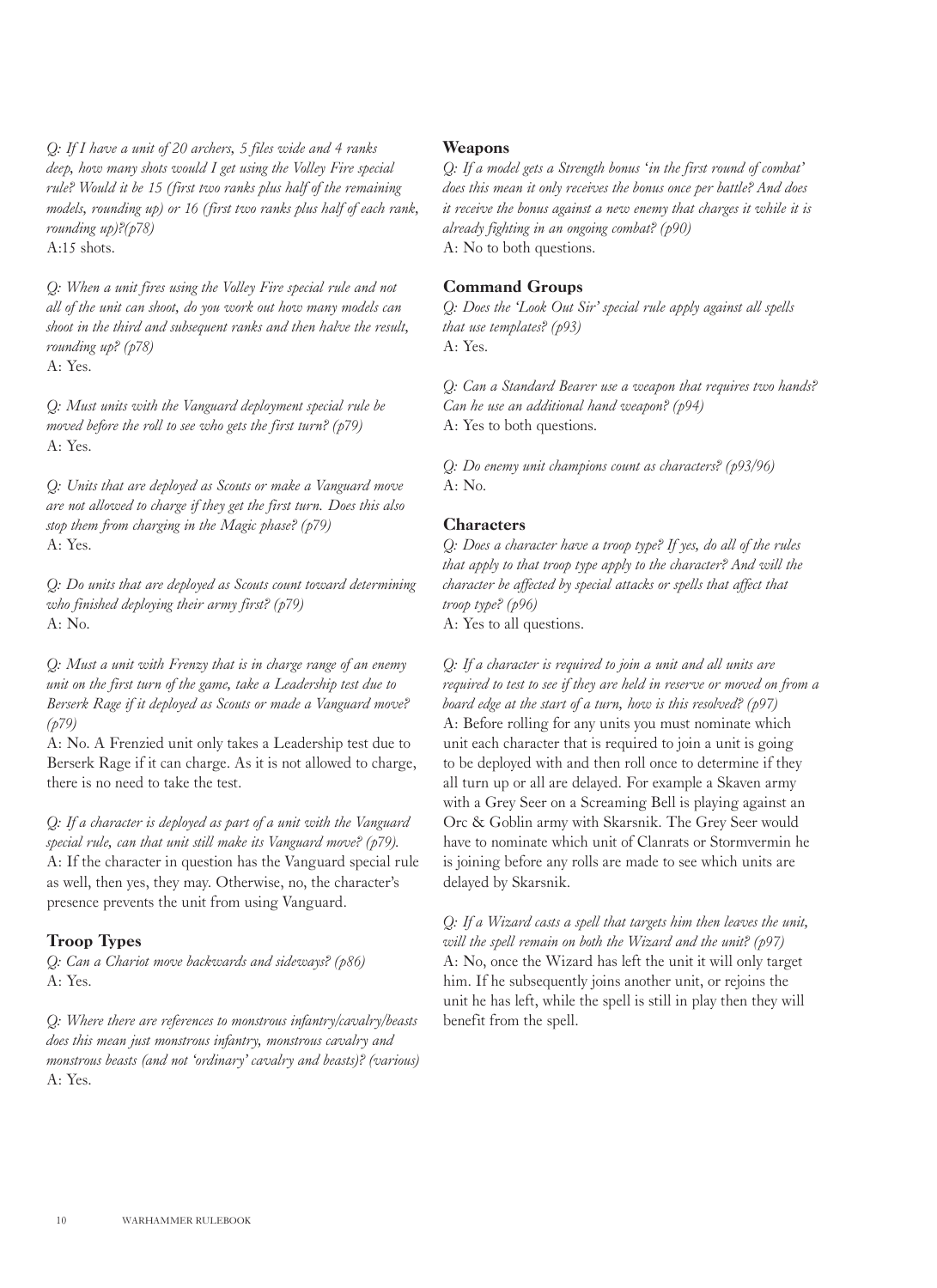*Q: If I have a unit of 20 archers, 5 files wide and 4 ranks deep, how many shots would I get using the Volley Fire special rule? Would it be 15 (first two ranks plus half of the remaining models, rounding up) or 16 (first two ranks plus half of each rank, rounding up)?(p78)*  $A:15$  shots.

*Q: When a unit fires using the Volley Fire special rule and not all of the unit can shoot, do you work out how many models can shoot in the third and subsequent ranks and then halve the result, rounding up? (p78)*  $A \cdot Y_{PS}$ 

*Q: Must units with the Vanguard deployment special rule be moved before the roll to see who gets the first turn? (p79)* A: Yes.

*Q: Units that are deployed as Scouts or make a Vanguard move are not allowed to charge if they get the first turn. Does this also stop them from charging in the Magic phase? (p79)* A: Yes.

*Q: Do units that are deployed as Scouts count toward determining who finished deploying their army first? (p79)*  $A \cdot N_0$ 

*Q: Must a unit with Frenzy that is in charge range of an enemy unit on the first turn of the game, take a Leadership test due to Berserk Rage if it deployed as Scouts or made a Vanguard move? (p79)*

A: No. A Frenzied unit only takes a Leadership test due to Berserk Rage if it can charge. As it is not allowed to charge, there is no need to take the test.

*Q: If a character is deployed as part of a unit with the Vanguard special rule, can that unit still make its Vanguard move? (p79).* A: If the character in question has the Vanguard special rule as well, then yes, they may. Otherwise, no, the character's presence prevents the unit from using Vanguard.

#### Troop Types

*Q: Can a Chariot move backwards and sideways? (p86)* A: Yes.

*Q: Where there are references to monstrous infantry/cavalry/beasts does this mean just monstrous infantry, monstrous cavalry and monstrous beasts (and not 'ordinary' cavalry and beasts)? (various)* A: Yes.

#### Weapons

*Q: If a model gets a Strength bonus 'in the first round of combat' does this mean it only receives the bonus once per battle? And does it receive the bonus against a new enemy that charges it while it is already fighting in an ongoing combat? (p90)* A: No to both questions.

#### Command Groups

*Q: Does the 'Look Out Sir' special rule apply against all spells that use templates? (p93)* A: Yes.

*Q: Can a Standard Bearer use a weapon that requires two hands? Can he use an additional hand weapon? (p94)* A: Yes to both questions.

*Q: Do enemy unit champions count as characters? (p93/96)* A: No.

#### **Characters**

*Q: Does a character have a troop type? If yes, do all of the rules that apply to that troop type apply to the character? And will the character be affected by special attacks or spells that affect that troop type? (p96)* A: Yes to all questions.

*Q: If a character is required to join a unit and all units are required to test to see if they are held in reserve or moved on from a board edge at the start of a turn, how is this resolved? (p97)* A: Before rolling for any units you must nominate which unit each character that is required to join a unit is going to be deployed with and then roll once to determine if they all turn up or all are delayed. For example a Skaven army with a Grey Seer on a Screaming Bell is playing against an Orc & Goblin army with Skarsnik. The Grey Seer would have to nominate which unit of Clanrats or Stormvermin he is joining before any rolls are made to see which units are delayed by Skarsnik.

*Q: If a Wizard casts a spell that targets him then leaves the unit, will the spell remain on both the Wizard and the unit? (p97)* A: No, once the Wizard has left the unit it will only target him. If he subsequently joins another unit, or rejoins the unit he has left, while the spell is still in play then they will benefit from the spell.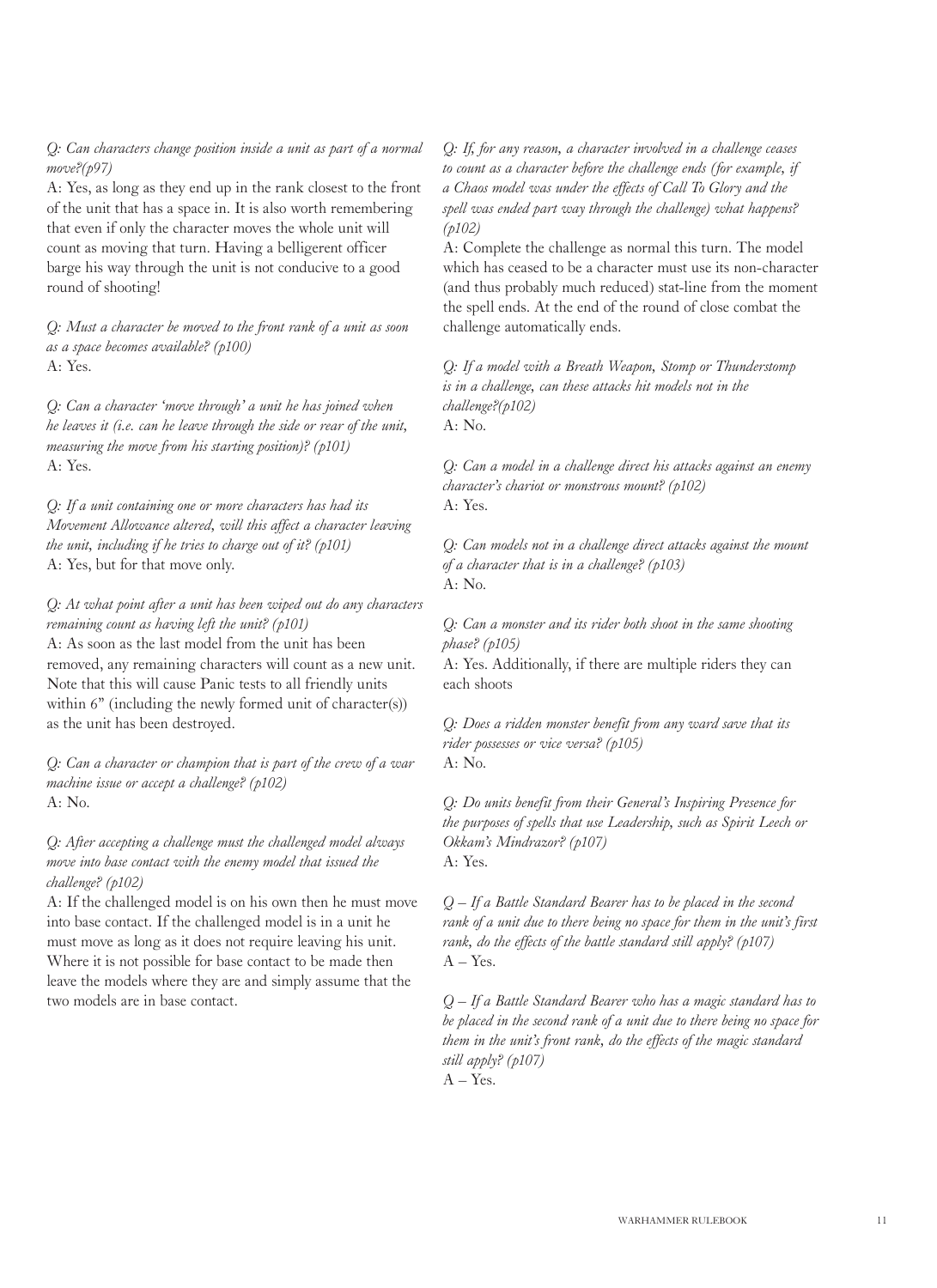*Q: Can characters change position inside a unit as part of a normal move?(p97)*

A: Yes, as long as they end up in the rank closest to the front of the unit that has a space in. It is also worth remembering that even if only the character moves the whole unit will count as moving that turn. Having a belligerent officer barge his way through the unit is not conducive to a good round of shooting!

*Q: Must a character be moved to the front rank of a unit as soon as a space becomes available? (p100)*  $A \cdot Y_{PS}$ 

*Q: Can a character 'move through' a unit he has joined when he leaves it (i.e. can he leave through the side or rear of the unit, measuring the move from his starting position)? (p101)* A: Yes.

*Q: If a unit containing one or more characters has had its Movement Allowance altered, will this affect a character leaving the unit, including if he tries to charge out of it? (p101)* A: Yes, but for that move only.

*Q: At what point after a unit has been wiped out do any characters remaining count as having left the unit? (p101)* A: As soon as the last model from the unit has been removed, any remaining characters will count as a new unit. Note that this will cause Panic tests to all friendly units within 6" (including the newly formed unit of character(s)) as the unit has been destroyed.

*Q: Can a character or champion that is part of the crew of a war machine issue or accept a challenge? (p102)* A: No.

*Q: After accepting a challenge must the challenged model always move into base contact with the enemy model that issued the challenge? (p102)*

A: If the challenged model is on his own then he must move into base contact. If the challenged model is in a unit he must move as long as it does not require leaving his unit. Where it is not possible for base contact to be made then leave the models where they are and simply assume that the two models are in base contact.

*Q: If, for any reason, a character involved in a challenge ceases to count as a character before the challenge ends (for example, if a Chaos model was under the effects of Call To Glory and the spell was ended part way through the challenge) what happens? (p102)*

A: Complete the challenge as normal this turn. The model which has ceased to be a character must use its non-character (and thus probably much reduced) stat-line from the moment the spell ends. At the end of the round of close combat the challenge automatically ends.

*Q: If a model with a Breath Weapon, Stomp or Thunderstomp is in a challenge, can these attacks hit models not in the challenge?(p102)* A: No.

*Q: Can a model in a challenge direct his attacks against an enemy character's chariot or monstrous mount? (p102)* A: Yes.

*Q: Can models not in a challenge direct attacks against the mount of a character that is in a challenge? (p103)* A: No.

*Q: Can a monster and its rider both shoot in the same shooting phase? (p105)*

A: Yes. Additionally, if there are multiple riders they can each shoots

*Q: Does a ridden monster benefit from any ward save that its rider possesses or vice versa? (p105)* A: No.

*Q: Do units benefit from their General's Inspiring Presence for the purposes of spells that use Leadership, such as Spirit Leech or Okkam's Mindrazor? (p107)* A: Yes.

*Q – If a Battle Standard Bearer has to be placed in the second rank of a unit due to there being no space for them in the unit's first rank, do the effects of the battle standard still apply? (p107)*   $A - Yes.$ 

*Q – If a Battle Standard Bearer who has a magic standard has to be placed in the second rank of a unit due to there being no space for them in the unit's front rank, do the effects of the magic standard still apply? (p107)*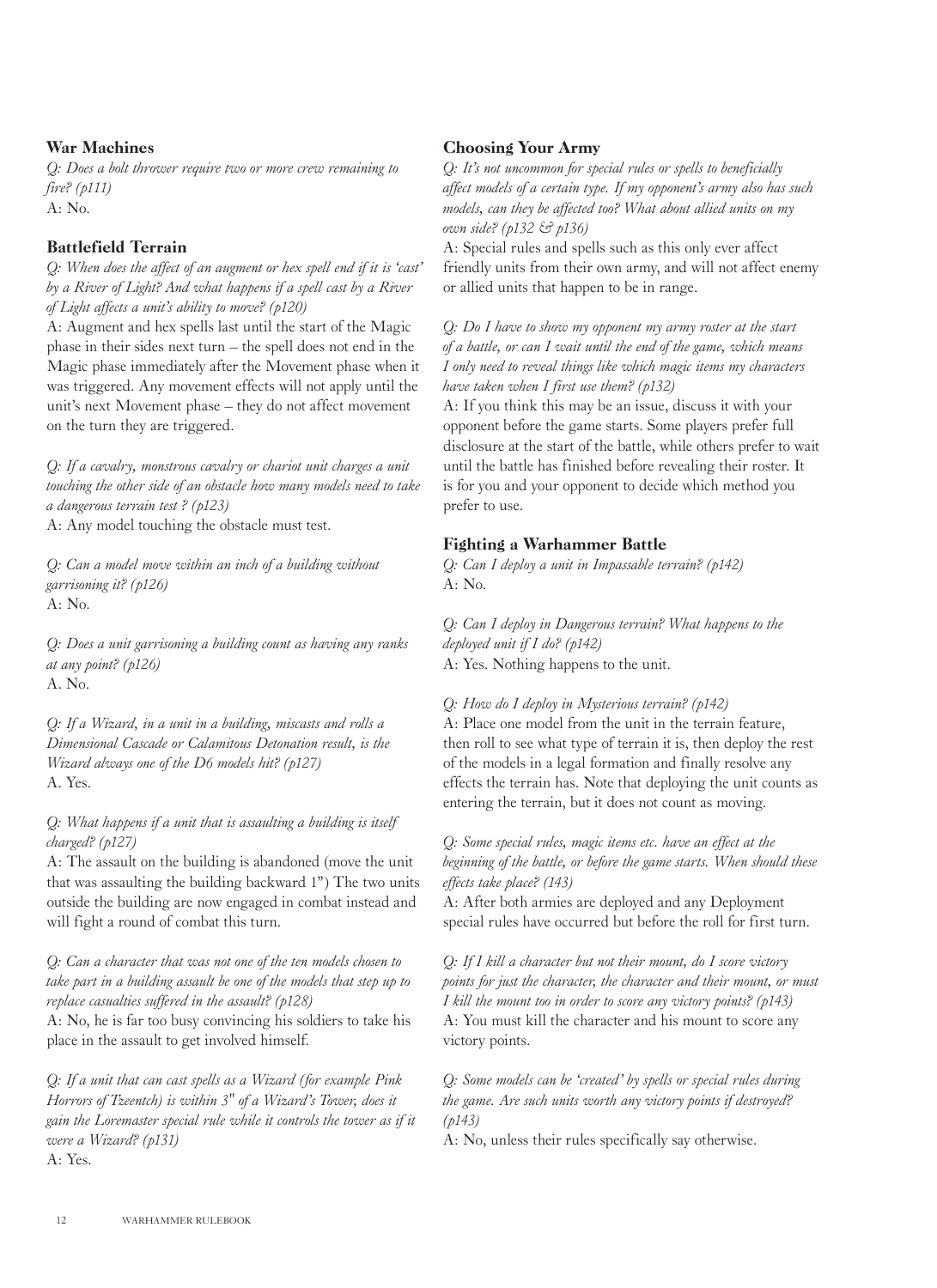#### War Machines

*Q: Does a bolt thrower require two or more crew remaining to fire? (p111)*  $A: No.$ 

#### Battlefield Terrain

*Q: When does the affect of an augment or hex spell end if it is 'cast' by a River of Light? And what happens if a spell cast by a River of Light affects a unit's ability to move? (p120)*

A: Augment and hex spells last until the start of the Magic phase in their sides next turn – the spell does not end in the Magic phase immediately after the Movement phase when it was triggered. Any movement effects will not apply until the unit's next Movement phase – they do not affect movement on the turn they are triggered.

*Q: If a cavalry, monstrous cavalry or chariot unit charges a unit touching the other side of an obstacle how many models need to take a dangerous terrain test ? (p123)*

A: Any model touching the obstacle must test.

*Q: Can a model move within an inch of a building without garrisoning it? (p126)* A: No.

*Q: Does a unit garrisoning a building count as having any ranks at any point? (p126)* A. No.

*Q: If a Wizard, in a unit in a building, miscasts and rolls a Dimensional Cascade or Calamitous Detonation result, is the Wizard always one of the D6 models hit? (p127)* A. Yes.

*Q: What happens if a unit that is assaulting a building is itself charged? (p127)*

A: The assault on the building is abandoned (move the unit that was assaulting the building backward 1") The two units outside the building are now engaged in combat instead and will fight a round of combat this turn.

*Q: Can a character that was not one of the ten models chosen to take part in a building assault be one of the models that step up to replace casualties suffered in the assault? (p128)*

A: No, he is far too busy convincing his soldiers to take his place in the assault to get involved himself.

*Q: If a unit that can cast spells as a Wizard (for example Pink Horrors of Tzeentch) is within 3" of a Wizard's Tower, does it gain the Loremaster special rule while it controls the tower as if it were a Wizard? (p131)* A: Yes.

#### Choosing Your Army

*Q: It's not uncommon for special rules or spells to beneficially affect models of a certain type. If my opponent's army also has such models, can they be affected too? What about allied units on my own side? (p132 & p136)*

A: Special rules and spells such as this only ever affect friendly units from their own army, and will not affect enemy or allied units that happen to be in range.

*Q: Do I have to show my opponent my army roster at the start of a battle, or can I wait until the end of the game, which means I only need to reveal things like which magic items my characters have taken when I first use them? (p132)*

A: If you think this may be an issue, discuss it with your opponent before the game starts. Some players prefer full disclosure at the start of the battle, while others prefer to wait until the battle has finished before revealing their roster. It is for you and your opponent to decide which method you prefer to use.

#### Fighting a Warhammer Battle

*Q: Can I deploy a unit in Impassable terrain? (p142)* A: No.

*Q: Can I deploy in Dangerous terrain? What happens to the deployed unit if I do? (p142)* A: Yes. Nothing happens to the unit.

#### *Q: How do I deploy in Mysterious terrain? (p142)*

A: Place one model from the unit in the terrain feature, then roll to see what type of terrain it is, then deploy the rest of the models in a legal formation and finally resolve any effects the terrain has. Note that deploying the unit counts as entering the terrain, but it does not count as moving.

*Q: Some special rules, magic items etc. have an effect at the beginning of the battle, or before the game starts. When should these effects take place? (143)*

A: After both armies are deployed and any Deployment special rules have occurred but before the roll for first turn.

*Q: If I kill a character but not their mount, do I score victory points for just the character, the character and their mount, or must I kill the mount too in order to score any victory points? (p143)* A: You must kill the character and his mount to score any victory points.

*Q: Some models can be 'created' by spells or special rules during the game. Are such units worth any victory points if destroyed? (p143)*

A: No, unless their rules specifically say otherwise.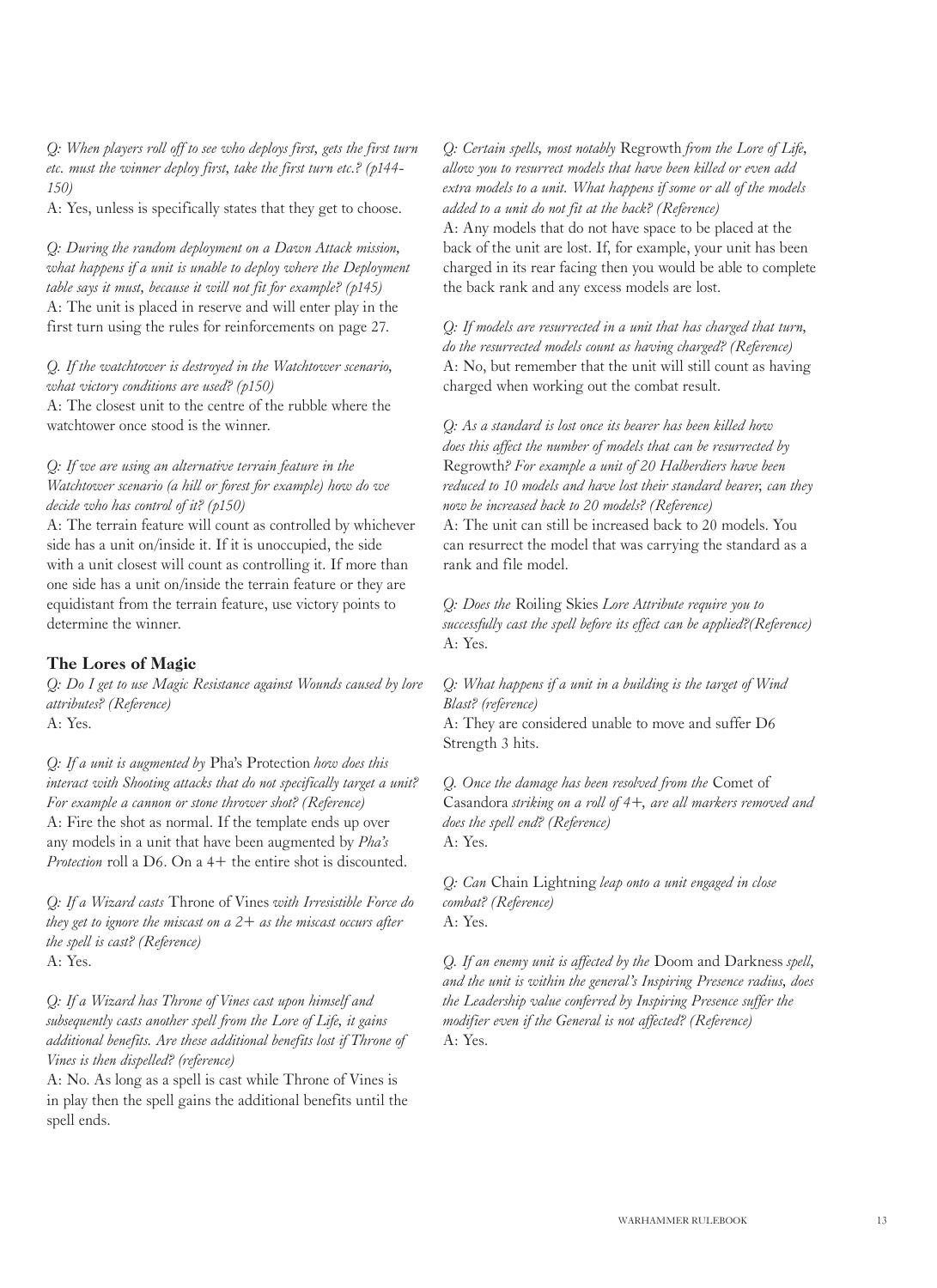*Q: When players roll off to see who deploys first, gets the first turn etc. must the winner deploy first, take the first turn etc.? (p144- 150)*

A: Yes, unless is specifically states that they get to choose.

*Q: During the random deployment on a Dawn Attack mission,*  what happens if a unit is unable to deploy where the Deployment *table says it must, because it will not fit for example? (p145)* A: The unit is placed in reserve and will enter play in the first turn using the rules for reinforcements on page 27.

*Q. If the watchtower is destroyed in the Watchtower scenario, what victory conditions are used? (p150)*

A: The closest unit to the centre of the rubble where the watchtower once stood is the winner.

*Q: If we are using an alternative terrain feature in the Watchtower scenario (a hill or forest for example) how do we decide who has control of it? (p150)*

A: The terrain feature will count as controlled by whichever side has a unit on/inside it. If it is unoccupied, the side with a unit closest will count as controlling it. If more than one side has a unit on/inside the terrain feature or they are equidistant from the terrain feature, use victory points to determine the winner.

#### The Lores of Magic

*Q: Do I get to use Magic Resistance against Wounds caused by lore attributes? (Reference)* A: Yes.

*Q: If a unit is augmented by* Pha's Protection *how does this interact with Shooting attacks that do not specifically target a unit? For example a cannon or stone thrower shot? (Reference)* A: Fire the shot as normal. If the template ends up over any models in a unit that have been augmented by *Pha's Protection* roll a D6. On a 4+ the entire shot is discounted.

*Q: If a Wizard casts* Throne of Vines *with Irresistible Force do they get to ignore the miscast on a 2+ as the miscast occurs after the spell is cast? (Reference)* A: Yes.

*Q: If a Wizard has Throne of Vines cast upon himself and subsequently casts another spell from the Lore of Life, it gains additional benefits. Are these additional benefits lost if Throne of Vines is then dispelled? (reference)*

A: No. As long as a spell is cast while Throne of Vines is in play then the spell gains the additional benefits until the spell ends.

*Q: Certain spells, most notably* Regrowth *from the Lore of Life, allow you to resurrect models that have been killed or even add extra models to a unit. What happens if some or all of the models added to a unit do not fit at the back? (Reference)*

A: Any models that do not have space to be placed at the back of the unit are lost. If, for example, your unit has been charged in its rear facing then you would be able to complete the back rank and any excess models are lost.

*Q: If models are resurrected in a unit that has charged that turn, do the resurrected models count as having charged? (Reference)* A: No, but remember that the unit will still count as having charged when working out the combat result.

*Q: As a standard is lost once its bearer has been killed how does this affect the number of models that can be resurrected by*  Regrowth*? For example a unit of 20 Halberdiers have been reduced to 10 models and have lost their standard bearer, can they now be increased back to 20 models? (Reference)* A: The unit can still be increased back to 20 models. You can resurrect the model that was carrying the standard as a rank and file model.

*Q: Does the* Roiling Skies *Lore Attribute require you to successfully cast the spell before its effect can be applied?(Reference)* A: Yes.

*Q: What happens if a unit in a building is the target of Wind Blast? (reference)* A: They are considered unable to move and suffer D6 Strength 3 hits.

*Q. Once the damage has been resolved from the* Comet of Casandora *striking on a roll of 4+, are all markers removed and does the spell end? (Reference)* A: Yes.

*Q: Can* Chain Lightning *leap onto a unit engaged in close combat? (Reference)* A: Yes.

*Q. If an enemy unit is affected by the* Doom and Darkness *spell, and the unit is within the general's Inspiring Presence radius, does the Leadership value conferred by Inspiring Presence suffer the modifier even if the General is not affected? (Reference)* A: Yes.